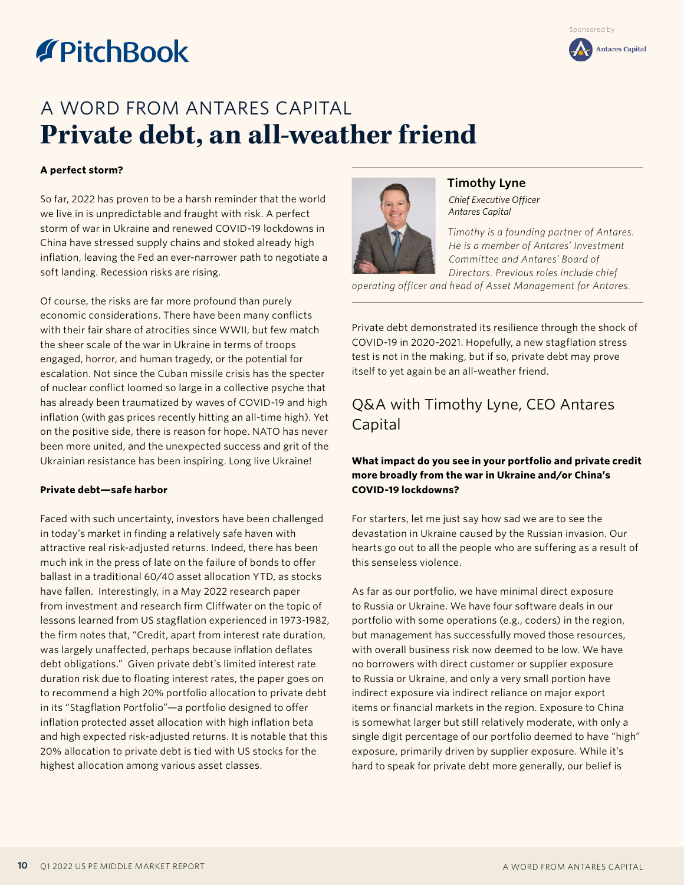# **TPitchBook**

## A WORD FROM ANTARES CAPITAL **Private debt, an all-weather friend**

### **A perfect storm?**

So far, 2022 has proven to be a harsh reminder that the world we live in is unpredictable and fraught with risk. A perfect storm of war in Ukraine and renewed COVID-19 lockdowns in China have stressed supply chains and stoked already high inflation, leaving the Fed an ever-narrower path to negotiate a soft landing. Recession risks are rising.

Of course, the risks are far more profound than purely economic considerations. There have been many conflicts with their fair share of atrocities since WWII, but few match the sheer scale of the war in Ukraine in terms of troops engaged, horror, and human tragedy, or the potential for escalation. Not since the Cuban missile crisis has the specter of nuclear conflict loomed so large in a collective psyche that has already been traumatized by waves of COVID-19 and high inflation (with gas prices recently hitting an all-time high). Yet on the positive side, there is reason for hope. NATO has never been more united, and the unexpected success and grit of the Ukrainian resistance has been inspiring. Long live Ukraine!

#### **Private debt—safe harbor**

Faced with such uncertainty, investors have been challenged in today's market in finding a relatively safe haven with attractive real risk-adjusted returns. Indeed, there has been much ink in the press of late on the failure of bonds to offer ballast in a traditional 60/40 asset allocation YTD, as stocks have fallen. Interestingly, in a May 2022 research paper from investment and research firm Cliffwater on the topic of lessons learned from US stagflation experienced in 1973-1982, the firm notes that, "Credit, apart from interest rate duration, was largely unaffected, perhaps because inflation deflates debt obligations." Given private debt's limited interest rate duration risk due to floating interest rates, the paper goes on to recommend a high 20% portfolio allocation to private debt in its "Stagflation Portfolio"—a portfolio designed to offer inflation protected asset allocation with high inflation beta and high expected risk-adjusted returns. It is notable that this 20% allocation to private debt is tied with US stocks for the highest allocation among various asset classes.



**Timothy Lyne** *Chief Executive Officer Antares Capital*

*Timothy is a founding partner of Antares. He is a member of Antares' Investment Committee and Antares' Board of Directors. Previous roles include chief* 

*operating officer and head of Asset Management for Antares.*

Private debt demonstrated its resilience through the shock of COVID-19 in 2020-2021. Hopefully, a new stagflation stress test is not in the making, but if so, private debt may prove itself to yet again be an all-weather friend.

## Q&A with Timothy Lyne, CEO Antares Capital

## **What impact do you see in your portfolio and private credit more broadly from the war in Ukraine and/or China's COVID-19 lockdowns?**

For starters, let me just say how sad we are to see the devastation in Ukraine caused by the Russian invasion. Our hearts go out to all the people who are suffering as a result of this senseless violence.

As far as our portfolio, we have minimal direct exposure to Russia or Ukraine. We have four software deals in our portfolio with some operations (e.g., coders) in the region, but management has successfully moved those resources, with overall business risk now deemed to be low. We have no borrowers with direct customer or supplier exposure to Russia or Ukraine, and only a very small portion have indirect exposure via indirect reliance on major export items or financial markets in the region. Exposure to China is somewhat larger but still relatively moderate, with only a single digit percentage of our portfolio deemed to have "high" exposure, primarily driven by supplier exposure. While it's hard to speak for private debt more generally, our belief is